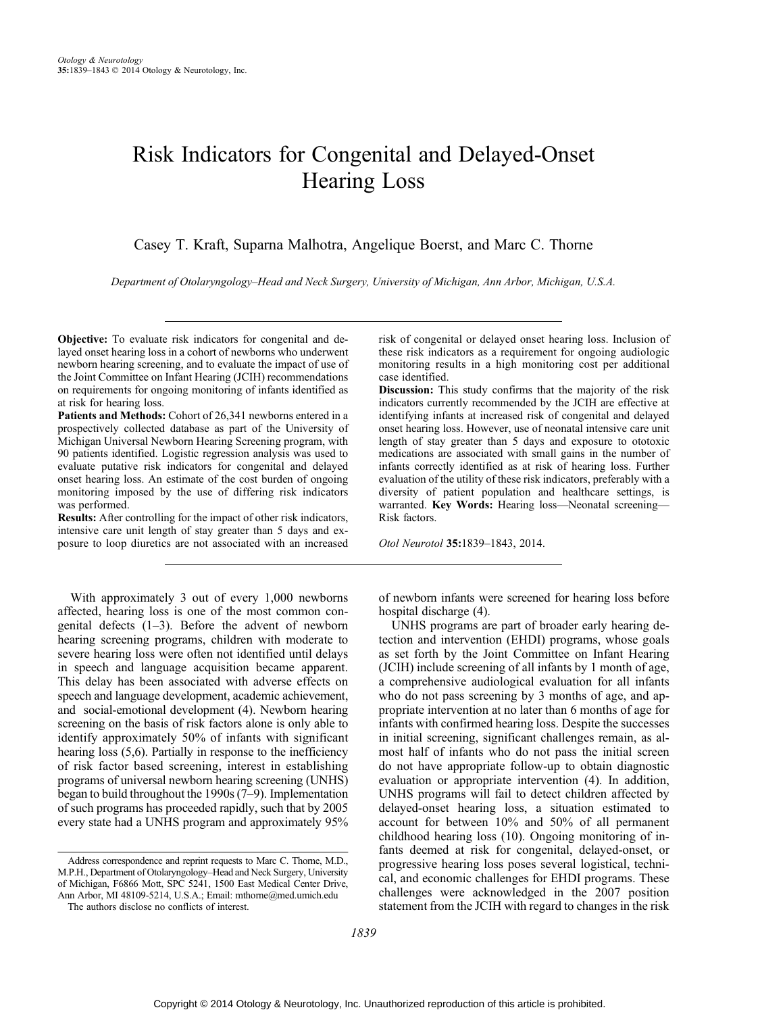# Risk Indicators for Congenital and Delayed-Onset Hearing Loss

Casey T. Kraft, Suparna Malhotra, Angelique Boerst, and Marc C. Thorne

Department of Otolaryngology-Head and Neck Surgery, University of Michigan, Ann Arbor, Michigan, U.S.A.

Objective: To evaluate risk indicators for congenital and delayed onset hearing loss in a cohort of newborns who underwent newborn hearing screening, and to evaluate the impact of use of the Joint Committee on Infant Hearing (JCIH) recommendations on requirements for ongoing monitoring of infants identified as at risk for hearing loss.

Patients and Methods: Cohort of 26,341 newborns entered in a prospectively collected database as part of the University of Michigan Universal Newborn Hearing Screening program, with 90 patients identified. Logistic regression analysis was used to evaluate putative risk indicators for congenital and delayed onset hearing loss. An estimate of the cost burden of ongoing monitoring imposed by the use of differing risk indicators was performed.

Results: After controlling for the impact of other risk indicators, intensive care unit length of stay greater than 5 days and exposure to loop diuretics are not associated with an increased

With approximately 3 out of every 1,000 newborns affected, hearing loss is one of the most common congenital defects  $(1-3)$ . Before the advent of newborn hearing screening programs, children with moderate to severe hearing loss were often not identified until delays in speech and language acquisition became apparent. This delay has been associated with adverse effects on speech and language development, academic achievement, and social-emotional development (4). Newborn hearing screening on the basis of risk factors alone is only able to identify approximately 50% of infants with significant hearing loss (5,6). Partially in response to the inefficiency of risk factor based screening, interest in establishing programs of universal newborn hearing screening (UNHS) began to build throughout the  $1990s(7-9)$ . Implementation of such programs has proceeded rapidly, such that by 2005 every state had a UNHS program and approximately 95%

Address correspondence and reprint requests to Marc C. Thorne, M.D., M.P.H., Department of Otolaryngology-Head and Neck Surgery, University of Michigan, F6866 Mott, SPC 5241, 1500 East Medical Center Drive, Ann Arbor, MI 48109-5214, U.S.A.; Email: mthorne@med.umich.edu

risk of congenital or delayed onset hearing loss. Inclusion of these risk indicators as a requirement for ongoing audiologic monitoring results in a high monitoring cost per additional case identified.

Discussion: This study confirms that the majority of the risk indicators currently recommended by the JCIH are effective at identifying infants at increased risk of congenital and delayed onset hearing loss. However, use of neonatal intensive care unit length of stay greater than 5 days and exposure to ototoxic medications are associated with small gains in the number of infants correctly identified as at risk of hearing loss. Further evaluation of the utility of these risk indicators, preferably with a diversity of patient population and healthcare settings, is warranted. Key Words: Hearing loss-Neonatal screening-Risk factors.

Otol Neurotol 35:1839-1843, 2014.

of newborn infants were screened for hearing loss before hospital discharge (4).

UNHS programs are part of broader early hearing detection and intervention (EHDI) programs, whose goals as set forth by the Joint Committee on Infant Hearing (JCIH) include screening of all infants by 1 month of age, a comprehensive audiological evaluation for all infants who do not pass screening by 3 months of age, and appropriate intervention at no later than 6 months of age for infants with confirmed hearing loss. Despite the successes in initial screening, significant challenges remain, as almost half of infants who do not pass the initial screen do not have appropriate follow-up to obtain diagnostic evaluation or appropriate intervention (4). In addition, UNHS programs will fail to detect children affected by delayed-onset hearing loss, a situation estimated to account for between 10% and 50% of all permanent childhood hearing loss (10). Ongoing monitoring of infants deemed at risk for congenital, delayed-onset, or progressive hearing loss poses several logistical, technical, and economic challenges for EHDI programs. These challenges were acknowledged in the 2007 position statement from the JCIH with regard to changes in the risk

The authors disclose no conflicts of interest.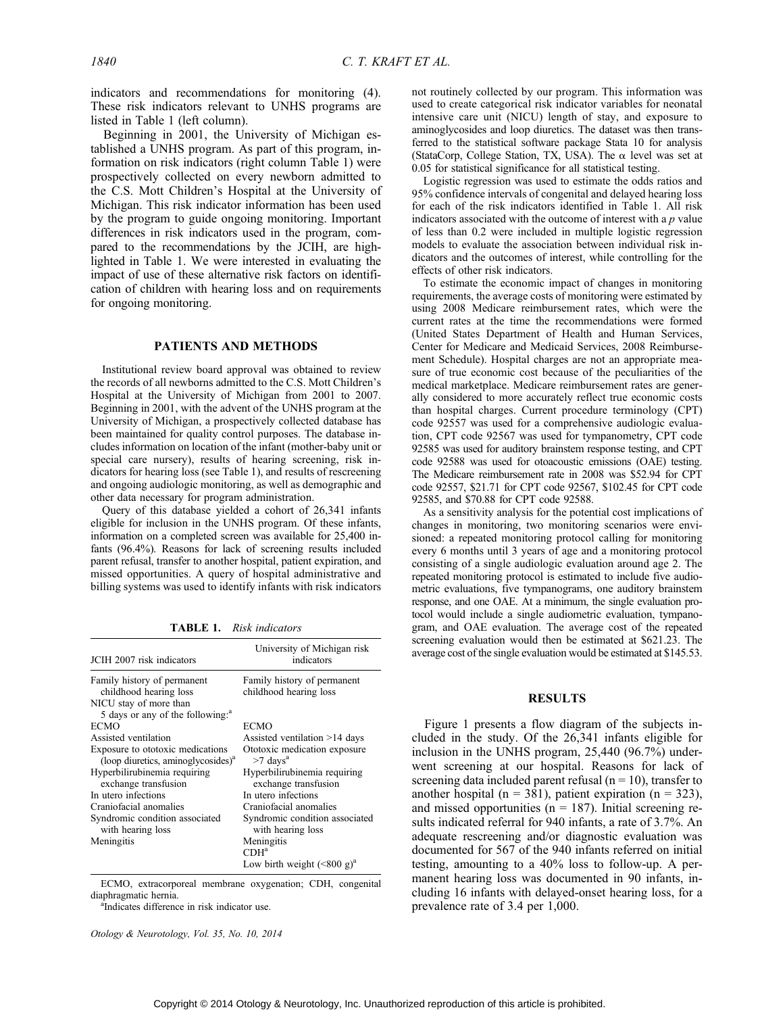indicators and recommendations for monitoring (4). These risk indicators relevant to UNHS programs are listed in Table 1 (left column).

Beginning in 2001, the University of Michigan established a UNHS program. As part of this program, information on risk indicators (right column Table 1) were prospectively collected on every newborn admitted to the C.S. Mott Children's Hospital at the University of Michigan. This risk indicator information has been used by the program to guide ongoing monitoring. Important differences in risk indicators used in the program, compared to the recommendations by the JCIH, are highlighted in Table 1. We were interested in evaluating the impact of use of these alternative risk factors on identification of children with hearing loss and on requirements for ongoing monitoring.

## PATIENTS AND METHODS

Institutional review board approval was obtained to review the records of all newborns admitted to the C.S. Mott Children's Hospital at the University of Michigan from 2001 to 2007. Beginning in 2001, with the advent of the UNHS program at the University of Michigan, a prospectively collected database has been maintained for quality control purposes. The database includes information on location of the infant (mother-baby unit or special care nursery), results of hearing screening, risk indicators for hearing loss (see Table 1), and results of rescreening and ongoing audiologic monitoring, as well as demographic and other data necessary for program administration.

Query of this database yielded a cohort of 26,341 infants eligible for inclusion in the UNHS program. Of these infants, information on a completed screen was available for 25,400 infants (96.4%). Reasons for lack of screening results included parent refusal, transfer to another hospital, patient expiration, and missed opportunities. A query of hospital administrative and billing systems was used to identify infants with risk indicators

TABLE 1. Risk indicators

| JCIH 2007 risk indicators                                                       | University of Michigan risk<br>indicators              |
|---------------------------------------------------------------------------------|--------------------------------------------------------|
| Family history of permanent<br>childhood hearing loss<br>NICU stay of more than | Family history of permanent<br>childhood hearing loss  |
| 5 days or any of the following: <sup>a</sup>                                    |                                                        |
| <b>ECMO</b><br>Assisted ventilation                                             | <b>ECMO</b><br>Assisted ventilation >14 days           |
| Exposure to ototoxic medications<br>(loop diuretics, aminoglycosides) $a$       | Ototoxic medication exposure<br>$>7$ days <sup>a</sup> |
| Hyperbilirubinemia requiring<br>exchange transfusion                            | Hyperbilirubinemia requiring<br>exchange transfusion   |
| In utero infections                                                             | In utero infections                                    |
| Craniofacial anomalies                                                          | Craniofacial anomalies                                 |
| Syndromic condition associated<br>with hearing loss                             | Syndromic condition associated<br>with hearing loss    |
| Meningitis                                                                      | Meningitis<br>$CDH^a$                                  |
|                                                                                 | Low birth weight $({\leq}800 \text{ g})^a$             |

ECMO, extracorporeal membrane oxygenation; CDH, congenital diaphragmatic hernia.

<sup>a</sup>Indicates difference in risk indicator use.

Otology & Neurotology, Vol. 35, No. 10, 2014

not routinely collected by our program. This information was used to create categorical risk indicator variables for neonatal intensive care unit (NICU) length of stay, and exposure to aminoglycosides and loop diuretics. The dataset was then transferred to the statistical software package Stata 10 for analysis (StataCorp, College Station, TX, USA). The  $\alpha$  level was set at 0.05 for statistical significance for all statistical testing.

Logistic regression was used to estimate the odds ratios and 95% confidence intervals of congenital and delayed hearing loss for each of the risk indicators identified in Table 1. All risk indicators associated with the outcome of interest with a  $p$  value of less than 0.2 were included in multiple logistic regression models to evaluate the association between individual risk indicators and the outcomes of interest, while controlling for the effects of other risk indicators.

To estimate the economic impact of changes in monitoring requirements, the average costs of monitoring were estimated by using 2008 Medicare reimbursement rates, which were the current rates at the time the recommendations were formed (United States Department of Health and Human Services, Center for Medicare and Medicaid Services, 2008 Reimbursement Schedule). Hospital charges are not an appropriate measure of true economic cost because of the peculiarities of the medical marketplace. Medicare reimbursement rates are generally considered to more accurately reflect true economic costs than hospital charges. Current procedure terminology (CPT) code 92557 was used for a comprehensive audiologic evaluation, CPT code 92567 was used for tympanometry, CPT code 92585 was used for auditory brainstem response testing, and CPT code 92588 was used for otoacoustic emissions (OAE) testing. The Medicare reimbursement rate in 2008 was \$52.94 for CPT code 92557, \$21.71 for CPT code 92567, \$102.45 for CPT code 92585, and \$70.88 for CPT code 92588.

As a sensitivity analysis for the potential cost implications of changes in monitoring, two monitoring scenarios were envisioned: a repeated monitoring protocol calling for monitoring every 6 months until 3 years of age and a monitoring protocol consisting of a single audiologic evaluation around age 2. The repeated monitoring protocol is estimated to include five audiometric evaluations, five tympanograms, one auditory brainstem response, and one OAE. At a minimum, the single evaluation protocol would include a single audiometric evaluation, tympanogram, and OAE evaluation. The average cost of the repeated screening evaluation would then be estimated at \$621.23. The average cost of the single evaluation would be estimated at \$145.53.

## RESULTS

Figure 1 presents a flow diagram of the subjects included in the study. Of the 26,341 infants eligible for inclusion in the UNHS program, 25,440 (96.7%) underwent screening at our hospital. Reasons for lack of screening data included parent refusal ( $n = 10$ ), transfer to another hospital (n = 381), patient expiration (n = 323), and missed opportunities ( $n = 187$ ). Initial screening results indicated referral for 940 infants, a rate of 3.7%. An adequate rescreening and/or diagnostic evaluation was documented for 567 of the 940 infants referred on initial testing, amounting to a 40% loss to follow-up. A permanent hearing loss was documented in 90 infants, including 16 infants with delayed-onset hearing loss, for a prevalence rate of 3.4 per 1,000.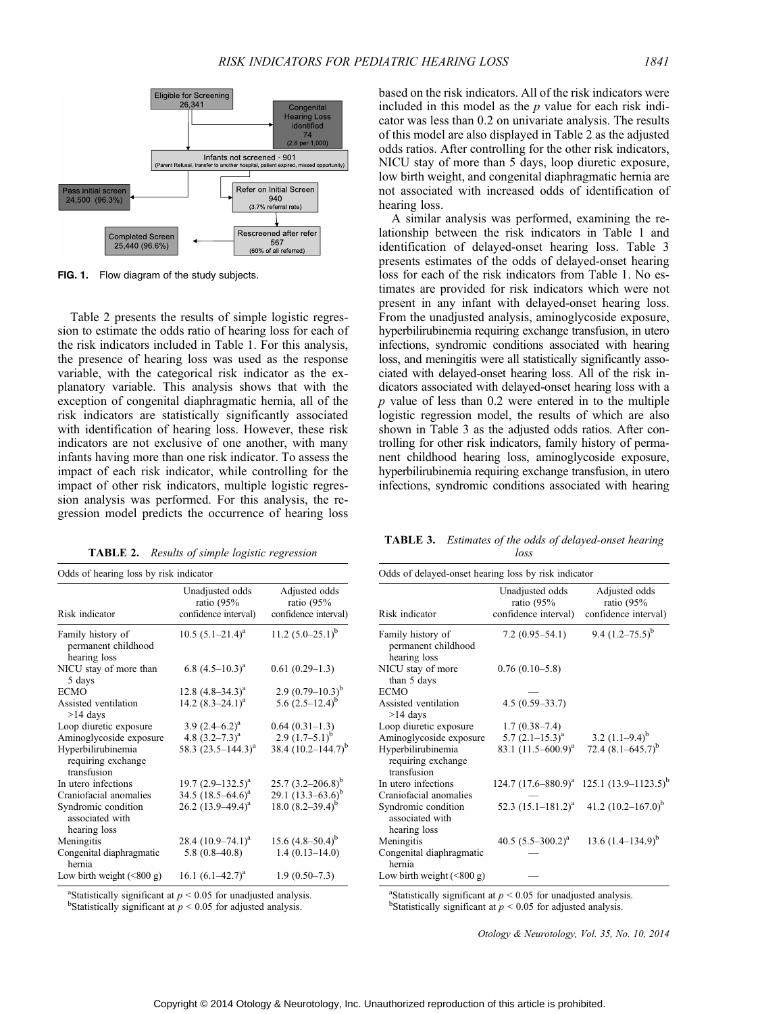

FIG. 1. Flow diagram of the study subjects.

Table 2 presents the results of simple logistic regression to estimate the odds ratio of hearing loss for each of the risk indicators included in Table 1. For this analysis, the presence of hearing loss was used as the response variable, with the categorical risk indicator as the explanatory variable. This analysis shows that with the exception of congenital diaphragmatic hernia, all of the risk indicators are statistically significantly associated with identification of hearing loss. However, these risk indicators are not exclusive of one another, with many infants having more than one risk indicator. To assess the impact of each risk indicator, while controlling for the impact of other risk indicators, multiple logistic regression analysis was performed. For this analysis, the regression model predicts the occurrence of hearing loss

TABLE 2. Results of simple logistic regression

| Odds of hearing loss by risk indicator                   |                                                         |                                                       |  |
|----------------------------------------------------------|---------------------------------------------------------|-------------------------------------------------------|--|
| Risk indicator                                           | Unadjusted odds<br>ratio $(95%$<br>confidence interval) | Adjusted odds<br>ratio $(95%$<br>confidence interval) |  |
| Family history of<br>permanent childhood<br>hearing loss | $10.5 (5.1 - 21.4)^a$                                   | 11.2 $(5.0-25.1)^{b}$                                 |  |
| NICU stay of more than<br>5 days                         | 6.8 $(4.5-10.3)^a$                                      | $0.61(0.29-1.3)$                                      |  |
| <b>ECMO</b>                                              | 12.8 $(4.8-34.3)^a$                                     | 2.9 $(0.79-10.3)^{b}$                                 |  |
| Assisted ventilation<br>$>14$ days                       | 14.2 $(8.3-24.1)^a$                                     | 5.6 $(2.5-12.4)^{b}$                                  |  |
| Loop diuretic exposure                                   | 3.9 $(2.4-6.2)^a$                                       | $0.64(0.31-1.3)$                                      |  |
| Aminoglycoside exposure                                  | 4.8 $(3.2 - 7.3)^a$                                     | 2.9 $(1.7-5.1)^{b}$                                   |  |
| Hyperbilirubinemia<br>requiring exchange<br>transfusion  | 58.3 $(23.5 - 144.3)^{a}$                               | 38.4 $(10.2 - 144.7)^{b}$                             |  |
| In utero infections                                      | 19.7 $(2.9-132.5)^a$                                    | $25.7 (3.2 - 206.8)^b$                                |  |
| Craniofacial anomalies                                   | 34.5 $(18.5-64.6)^a$                                    | 29.1 $(13.3-63.6)^b$                                  |  |
| Syndromic condition<br>associated with<br>hearing loss   | $26.2$ $(13.9-49.4)^a$                                  | 18.0 $(8.2 - 39.4)^{b}$                               |  |
| Meningitis                                               | 28.4 $(10.9-74.1)^a$                                    | 15.6 $(4.8-50.4)^{b}$                                 |  |
| Congenital diaphragmatic<br>hernia                       | $5.8(0.8-40.8)$                                         | $1.4(0.13 - 14.0)$                                    |  |
| Low birth weight $(\leq 800 \text{ g})$                  | 16.1 $(6.1-42.7)^a$                                     | $1.9(0.50-7.3)$                                       |  |

<sup>a</sup>Statistically significant at  $p < 0.05$  for unadjusted analysis.<br>bStatistically significant at  $p < 0.05$  for adjusted analysis. <sup>b</sup>Statistically significant at  $p < 0.05$  for adjusted analysis.

based on the risk indicators. All of the risk indicators were included in this model as the  $p$  value for each risk indicator was less than 0.2 on univariate analysis. The results of this model are also displayed in Table 2 as the adjusted odds ratios. After controlling for the other risk indicators, NICU stay of more than 5 days, loop diuretic exposure, low birth weight, and congenital diaphragmatic hernia are not associated with increased odds of identification of hearing loss.

A similar analysis was performed, examining the relationship between the risk indicators in Table 1 and identification of delayed-onset hearing loss. Table 3 presents estimates of the odds of delayed-onset hearing loss for each of the risk indicators from Table 1. No estimates are provided for risk indicators which were not present in any infant with delayed-onset hearing loss. From the unadjusted analysis, aminoglycoside exposure, hyperbilirubinemia requiring exchange transfusion, in utero infections, syndromic conditions associated with hearing loss, and meningitis were all statistically significantly associated with delayed-onset hearing loss. All of the risk indicators associated with delayed-onset hearing loss with a  $p$  value of less than 0.2 were entered in to the multiple logistic regression model, the results of which are also shown in Table 3 as the adjusted odds ratios. After controlling for other risk indicators, family history of permanent childhood hearing loss, aminoglycoside exposure, hyperbilirubinemia requiring exchange transfusion, in utero infections, syndromic conditions associated with hearing

TABLE 3. Estimates of the odds of delayed-onset hearing loss

| Odds of delayed-onset hearing loss by risk indicator     |                                                         |                                                       |  |
|----------------------------------------------------------|---------------------------------------------------------|-------------------------------------------------------|--|
| Risk indicator                                           | Unadjusted odds<br>ratio $(95%$<br>confidence interval) | Adjusted odds<br>ratio $(95%$<br>confidence interval) |  |
| Family history of<br>permanent childhood<br>hearing loss | $7.2(0.95-54.1)$                                        | 9.4 $(1.2 - 75.5)^{b}$                                |  |
| NICU stay of more<br>than 5 days                         | $0.76(0.10-5.8)$                                        |                                                       |  |
| <b>ECMO</b>                                              |                                                         |                                                       |  |
| Assisted ventilation<br>$>14$ days                       | $4.5(0.59 - 33.7)$                                      |                                                       |  |
| Loop diuretic exposure                                   | $1.7(0.38-7.4)$                                         |                                                       |  |
| Aminoglycoside exposure                                  | 5.7 $(2.1-15.3)^{a}$                                    | 3.2 $(1.1-9.4)^{b}$                                   |  |
| Hyperbilirubinemia<br>requiring exchange<br>transfusion  | 83.1 $(11.5 - 600.9)^a$                                 | 72.4 $(8.1 - 645.7)^{b}$                              |  |
| In utero infections                                      | 124.7 $(17.6 - 880.9)^a$                                | 125.1 $(13.9 - 1123.5)^{b}$                           |  |
| Craniofacial anomalies                                   |                                                         |                                                       |  |
| Syndromic condition<br>associated with<br>hearing loss   | 52.3 $(15.1 - 181.2)^{a}$                               | 41.2 $(10.2 - 167.0)^b$                               |  |
| Meningitis                                               | 40.5 $(5.5-300.2)^{a}$                                  | 13.6 $(1.4-134.9)^{b}$                                |  |
| Congenital diaphragmatic<br>hernia                       |                                                         |                                                       |  |
| Low birth weight $(\leq 800 \text{ g})$                  |                                                         |                                                       |  |
|                                                          |                                                         |                                                       |  |

<sup>a</sup>Statistically significant at  $p < 0.05$  for unadjusted analysis.<br><sup>b</sup>Statistically significant at  $p < 0.05$  for adjusted analysis. <sup>b</sup>Statistically significant at  $p < 0.05$  for adjusted analysis.

Otology & Neurotology, Vol. 35, No. 10, 2014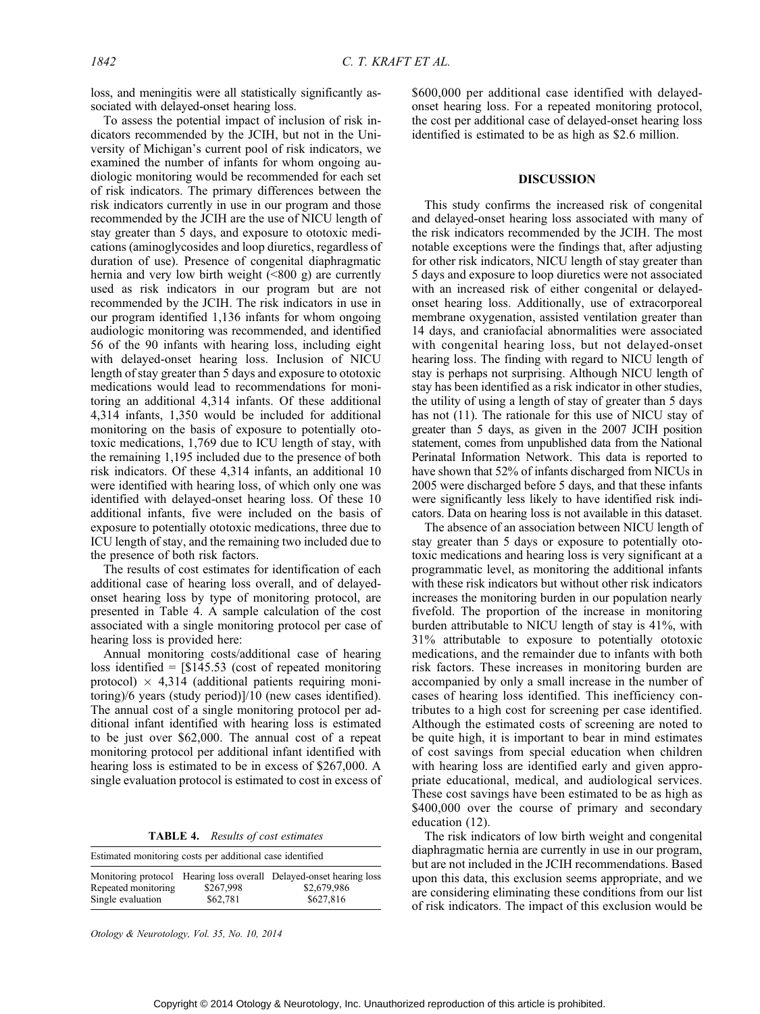loss, and meningitis were all statistically significantly associated with delayed-onset hearing loss.

To assess the potential impact of inclusion of risk indicators recommended by the JCIH, but not in the University of Michigan's current pool of risk indicators, we examined the number of infants for whom ongoing audiologic monitoring would be recommended for each set of risk indicators. The primary differences between the risk indicators currently in use in our program and those recommended by the JCIH are the use of NICU length of stay greater than 5 days, and exposure to ototoxic medications (aminoglycosides and loop diuretics, regardless of duration of use). Presence of congenital diaphragmatic hernia and very low birth weight  $(\leq 800 \text{ g})$  are currently used as risk indicators in our program but are not recommended by the JCIH. The risk indicators in use in our program identified 1,136 infants for whom ongoing audiologic monitoring was recommended, and identified 56 of the 90 infants with hearing loss, including eight with delayed-onset hearing loss. Inclusion of NICU length of stay greater than 5 days and exposure to ototoxic medications would lead to recommendations for monitoring an additional 4,314 infants. Of these additional 4,314 infants, 1,350 would be included for additional monitoring on the basis of exposure to potentially ototoxic medications, 1,769 due to ICU length of stay, with the remaining 1,195 included due to the presence of both risk indicators. Of these 4,314 infants, an additional 10 were identified with hearing loss, of which only one was identified with delayed-onset hearing loss. Of these 10 additional infants, five were included on the basis of exposure to potentially ototoxic medications, three due to ICU length of stay, and the remaining two included due to the presence of both risk factors.

The results of cost estimates for identification of each additional case of hearing loss overall, and of delayedonset hearing loss by type of monitoring protocol, are presented in Table 4. A sample calculation of the cost associated with a single monitoring protocol per case of hearing loss is provided here:

Annual monitoring costs/additional case of hearing loss identified  $=$  [\$145.53 (cost of repeated monitoring protocol)  $\times$  4,314 (additional patients requiring monitoring)/6 years (study period)]/10 (new cases identified). The annual cost of a single monitoring protocol per additional infant identified with hearing loss is estimated to be just over \$62,000. The annual cost of a repeat monitoring protocol per additional infant identified with hearing loss is estimated to be in excess of \$267,000. A single evaluation protocol is estimated to cost in excess of

TABLE 4. Results of cost estimates

| Estimated monitoring costs per additional case identified |                       |                                                                                                 |  |  |
|-----------------------------------------------------------|-----------------------|-------------------------------------------------------------------------------------------------|--|--|
| Repeated monitoring<br>Single evaluation                  | \$267,998<br>\$62,781 | Monitoring protocol Hearing loss overall Delayed-onset hearing loss<br>\$2,679,986<br>\$627,816 |  |  |

Otology & Neurotology, Vol. 35, No. 10, 2014

\$600,000 per additional case identified with delayedonset hearing loss. For a repeated monitoring protocol, the cost per additional case of delayed-onset hearing loss identified is estimated to be as high as \$2.6 million.

### DISCUSSION

This study confirms the increased risk of congenital and delayed-onset hearing loss associated with many of the risk indicators recommended by the JCIH. The most notable exceptions were the findings that, after adjusting for other risk indicators, NICU length of stay greater than 5 days and exposure to loop diuretics were not associated with an increased risk of either congenital or delayedonset hearing loss. Additionally, use of extracorporeal membrane oxygenation, assisted ventilation greater than 14 days, and craniofacial abnormalities were associated with congenital hearing loss, but not delayed-onset hearing loss. The finding with regard to NICU length of stay is perhaps not surprising. Although NICU length of stay has been identified as a risk indicator in other studies, the utility of using a length of stay of greater than 5 days has not (11). The rationale for this use of NICU stay of greater than 5 days, as given in the 2007 JCIH position statement, comes from unpublished data from the National Perinatal Information Network. This data is reported to have shown that 52% of infants discharged from NICUs in 2005 were discharged before 5 days, and that these infants were significantly less likely to have identified risk indicators. Data on hearing loss is not available in this dataset.

The absence of an association between NICU length of stay greater than 5 days or exposure to potentially ototoxic medications and hearing loss is very significant at a programmatic level, as monitoring the additional infants with these risk indicators but without other risk indicators increases the monitoring burden in our population nearly fivefold. The proportion of the increase in monitoring burden attributable to NICU length of stay is 41%, with 31% attributable to exposure to potentially ototoxic medications, and the remainder due to infants with both risk factors. These increases in monitoring burden are accompanied by only a small increase in the number of cases of hearing loss identified. This inefficiency contributes to a high cost for screening per case identified. Although the estimated costs of screening are noted to be quite high, it is important to bear in mind estimates of cost savings from special education when children with hearing loss are identified early and given appropriate educational, medical, and audiological services. These cost savings have been estimated to be as high as \$400,000 over the course of primary and secondary education (12).

The risk indicators of low birth weight and congenital diaphragmatic hernia are currently in use in our program, but are not included in the JCIH recommendations. Based upon this data, this exclusion seems appropriate, and we are considering eliminating these conditions from our list of risk indicators. The impact of this exclusion would be